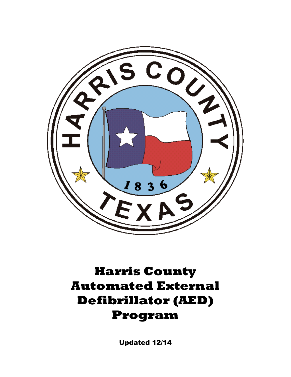

# **Harris County Automated External Defibrillator (AED) Program**

Updated 12/14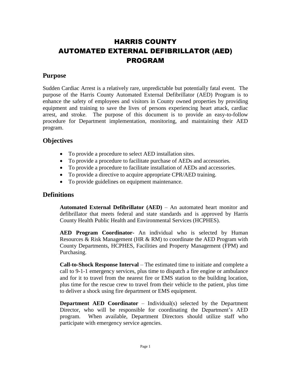## HARRIS COUNTY AUTOMATED EXTERNAL DEFIBRILLATOR (AED) PROGRAM

## **Purpose**

Sudden Cardiac Arrest is a relatively rare, unpredictable but potentially fatal event. The purpose of the Harris County Automated External Defibrillator (AED) Program is to enhance the safety of employees and visitors in County owned properties by providing equipment and training to save the lives of persons experiencing heart attack, cardiac arrest, and stroke. The purpose of this document is to provide an easy-to-follow procedure for Department implementation, monitoring, and maintaining their AED program.

## **Objectives**

- To provide a procedure to select AED installation sites.
- To provide a procedure to facilitate purchase of AEDs and accessories.
- To provide a procedure to facilitate installation of AEDs and accessories.
- To provide a directive to acquire appropriate CPR/AED training.
- To provide guidelines on equipment maintenance.

## **Definitions**

**Automated External Defibrillator (AED)** – An automated heart monitor and defibrillator that meets federal and state standards and is approved by Harris County Health Public Health and Environmental Services (HCPHES).

**AED Program Coordinator-** An individual who is selected by Human Resources & Risk Management (HR  $\&$  RM) to coordinate the AED Program with County Departments, HCPHES, Facilities and Property Management (FPM) and Purchasing.

**Call-to-Shock Response Interval** – The estimated time to initiate and complete a call to 9-1-1 emergency services, plus time to dispatch a fire engine or ambulance and for it to travel from the nearest fire or EMS station to the building location, plus time for the rescue crew to travel from their vehicle to the patient, plus time to deliver a shock using fire department or EMS equipment.

**Department AED Coordinator** – Individual(s) selected by the Department Director, who will be responsible for coordinating the Department's AED program. When available, Department Directors should utilize staff who participate with emergency service agencies.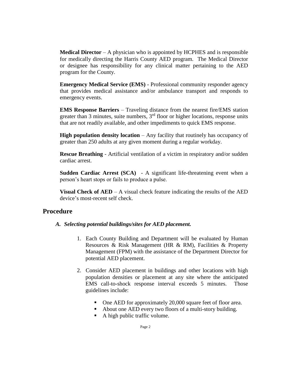**Medical Director** – A physician who is appointed by HCPHES and is responsible for medically directing the Harris County AED program. The Medical Director or designee has responsibility for any clinical matter pertaining to the AED program for the County.

**Emergency Medical Service (EMS)** - Professional community responder agency that provides medical assistance and/or ambulance transport and responds to emergency events.

**EMS Response Barriers** – Traveling distance from the nearest fire/EMS station greater than 3 minutes, suite numbers,  $3<sup>rd</sup>$  floor or higher locations, response units that are not readily available, and other impediments to quick EMS response.

**High population density location** – Any facility that routinely has occupancy of greater than 250 adults at any given moment during a regular workday.

**Rescue Breathing** - Artificial ventilation of a victim in respiratory and/or sudden cardiac arrest.

**Sudden Cardiac Arrest (SCA)** - A significant life-threatening event when a person's heart stops or fails to produce a pulse.

**Visual Check of AED** – A visual check feature indicating the results of the AED device's most-recent self check.

#### **Procedure**

#### *A. Selecting potential buildings/sites for AED placement.*

- 1. Each County Building and Department will be evaluated by Human Resources & Risk Management (HR & RM), Facilities & Property Management (FPM) with the assistance of the Department Director for potential AED placement.
- 2. Consider AED placement in buildings and other locations with high population densities or placement at any site where the anticipated EMS call-to-shock response interval exceeds 5 minutes. Those guidelines include:
	- One AED for approximately 20,000 square feet of floor area.
	- About one AED every two floors of a multi-story building.
	- A high public traffic volume.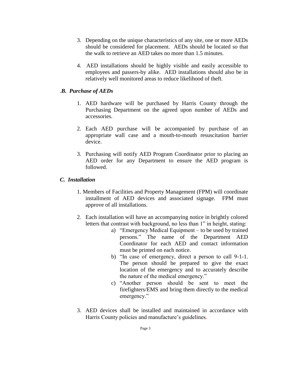- 3. Depending on the unique characteristics of any site, one or more AEDs should be considered for placement. AEDs should be located so that the walk to retrieve an AED takes no more than 1.5 minutes.
- 4. AED installations should be highly visible and easily accessible to employees and passers-by alike. AED installations should also be in relatively well monitored areas to reduce likelihood of theft.

#### .*B. Purchase of AEDs*

- 1. AED hardware will be purchased by Harris County through the Purchasing Department on the agreed upon number of AEDs and accessories.
- 2. Each AED purchase will be accompanied by purchase of an appropriate wall case and a mouth-to-mouth resuscitation barrier device.
- 3. Purchasing will notify AED Program Coordinator prior to placing an AED order for any Department to ensure the AED program is followed.

#### *C. Installation*

- 1. Members of Facilities and Property Management (FPM) will coordinate installment of AED devices and associated signage. FPM must approve of all installations.
- 2. Each installation will have an accompanying notice in brightly colored letters that contrast with background, no less than 1" in height, stating:
	- a) "Emergency Medical Equipment to be used by trained persons." The name of the Department AED Coordinator for each AED and contact information must be printed on each notice.
	- b) "In case of emergency, direct a person to call 9-1-1. The person should be prepared to give the exact location of the emergency and to accurately describe the nature of the medical emergency."
	- c) "Another person should be sent to meet the firefighters/EMS and bring them directly to the medical emergency."
- 3. AED devices shall be installed and maintained in accordance with Harris County policies and manufacture's guidelines.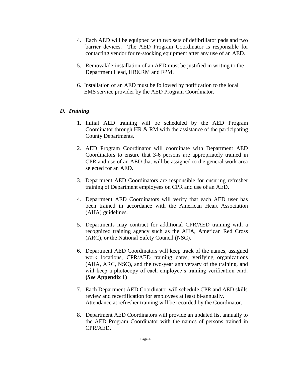- 4. Each AED will be equipped with two sets of defibrillator pads and two barrier devices. The AED Program Coordinator is responsible for contacting vendor for re-stocking equipment after any use of an AED.
- 5. Removal/de-installation of an AED must be justified in writing to the Department Head, HR&RM and FPM.
- 6. Installation of an AED must be followed by notification to the local EMS service provider by the AED Program Coordinator.

#### *D. Training*

- 1. Initial AED training will be scheduled by the AED Program Coordinator through HR & RM with the assistance of the participating County Departments.
- 2. AED Program Coordinator will coordinate with Department AED Coordinators to ensure that 3-6 persons are appropriately trained in CPR and use of an AED that will be assigned to the general work area selected for an AED.
- 3. Department AED Coordinators are responsible for ensuring refresher training of Department employees on CPR and use of an AED.
- 4. Department AED Coordinators will verify that each AED user has been trained in accordance with the American Heart Association (AHA) guidelines.
- 5. Departments may contract for additional CPR/AED training with a recognized training agency such as the AHA, American Red Cross (ARC), or the National Safety Council (NSC).
- 6. Department AED Coordinators will keep track of the names, assigned work locations, CPR/AED training dates, verifying organizations (AHA, ARC, NSC), and the two-year anniversary of the training, and will keep a photocopy of each employee's training verification card. **(***See* **Appendix 1)**
- 7. Each Department AED Coordinator will schedule CPR and AED skills review and recertification for employees at least bi-annually. Attendance at refresher training will be recorded by the Coordinator.
- 8. Department AED Coordinators will provide an updated list annually to the AED Program Coordinator with the names of persons trained in CPR/AED.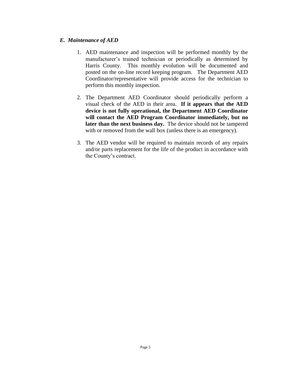#### *E. Maintenance of AED*

- 1. AED maintenance and inspection will be performed monthly by the manufacturer's trained technician or periodically as determined by Harris County. This monthly evolution will be documented and posted on the on-line record keeping program. The Department AED Coordinator/representative will provide access for the technician to perform this monthly inspection.
- 2. The Department AED Coordinator should periodically perform a visual check of the AED in their area. **If it appears that the AED device is not fully operational, the Department AED Coordinator will contact the AED Program Coordinator immediately, but no later than the next business day.** The device should not be tampered with or removed from the wall box (unless there is an emergency).
- 3. The AED vendor will be required to maintain records of any repairs and/or parts replacement for the life of the product in accordance with the County's contract.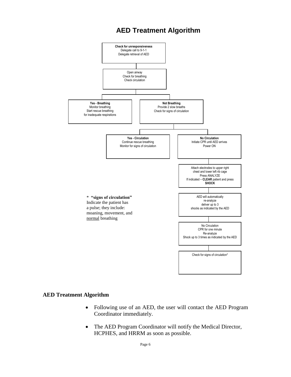## **AED Treatment Algorithm**



#### **AED Treatment Algorithm**

- Following use of an AED, the user will contact the AED Program Coordinator immediately.
- The AED Program Coordinator will notify the Medical Director, HCPHES, and HRRM as soon as possible.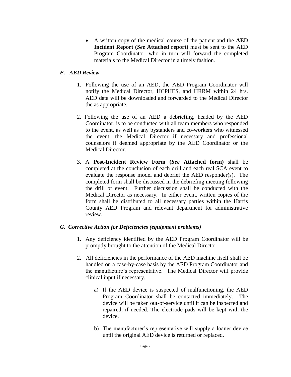A written copy of the medical course of the patient and the **AED Incident Report (***See* **Attached report)** must be sent to the AED Program Coordinator, who in turn will forward the completed materials to the Medical Director in a timely fashion.

#### *F. AED Review*

- 1. Following the use of an AED, the AED Program Coordinator will notify the Medical Director, HCPHES, and HRRM within 24 hrs. AED data will be downloaded and forwarded to the Medical Director the as appropriate.
- 2. Following the use of an AED a debriefing, headed by the AED Coordinator, is to be conducted with all team members who responded to the event, as well as any bystanders and co-workers who witnessed the event, the Medical Director if necessary and professional counselors if deemed appropriate by the AED Coordinator or the Medical Director.
- 3. A **Post-Incident Review Form (***See* **Attached form)** shall be completed at the conclusion of each drill and each real SCA event to evaluate the response model and debrief the AED responder(s). The completed form shall be discussed in the debriefing meeting following the drill or event. Further discussion shall be conducted with the Medical Director as necessary. In either event, written copies of the form shall be distributed to all necessary parties within the Harris County AED Program and relevant department for administrative review.

#### *G. Corrective Action for Deficiencies (equipment problems)*

- 1. Any deficiency identified by the AED Program Coordinator will be promptly brought to the attention of the Medical Director.
- 2. All deficiencies in the performance of the AED machine itself shall be handled on a case-by-case basis by the AED Program Coordinator and the manufacture's representative. The Medical Director will provide clinical input if necessary.
	- a) If the AED device is suspected of malfunctioning, the AED Program Coordinator shall be contacted immediately. The device will be taken out-of-service until it can be inspected and repaired, if needed. The electrode pads will be kept with the device.
	- b) The manufacturer's representative will supply a loaner device until the original AED device is returned or replaced.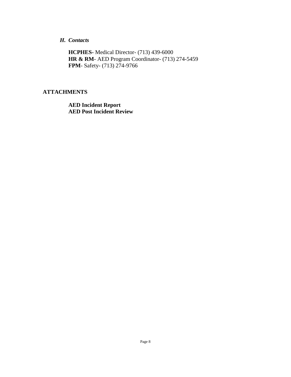#### *H. Contacts*

**HCPHES-** Medical Director- (713) 439-6000 **HR & RM**- AED Program Coordinator- (713) 274-5459 **FPM**- Safety- (713) 274-9766

#### **ATTACHMENTS**

**AED Incident Report AED Post Incident Review**